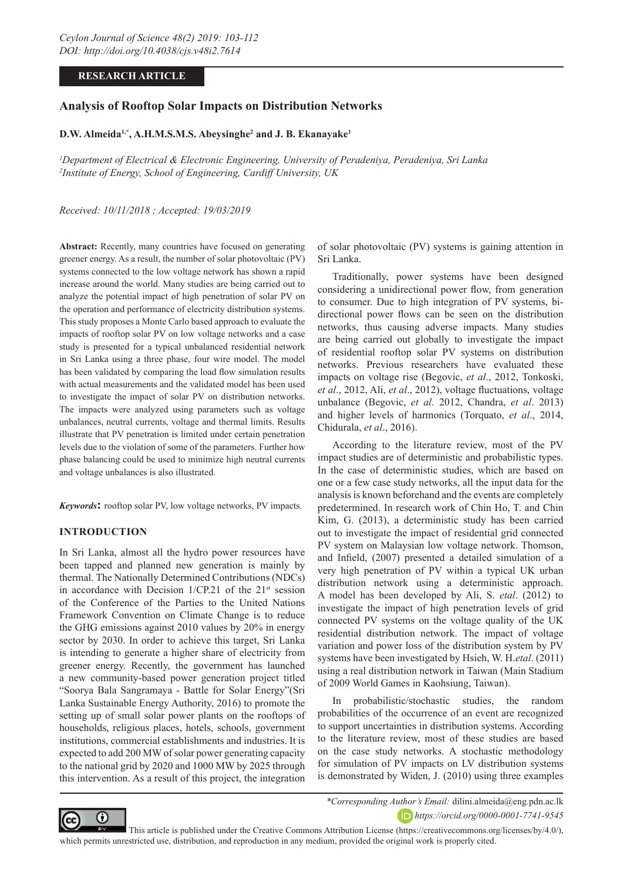# **RESEARCH ARTICLE**

# **Analysis of Rooftop Solar Impacts on Distribution Networks**

## **D.W. Almeida1,\*, A.H.M.S.M.S. Abeysinghe2 and J. B. Ekanayake1**

*1 Department of Electrical & Electronic Engineering, University of Peradeniya, Peradeniya, Sri Lanka 2 Institute of Energy, School of Engineering, Cardiff University, UK*

*Received: 10/11/2018 ; Accepted: 19/03/2019*

**Abstract:** Recently, many countries have focused on generating greener energy. As a result, the number of solar photovoltaic (PV) systems connected to the low voltage network has shown a rapid increase around the world. Many studies are being carried out to analyze the potential impact of high penetration of solar PV on the operation and performance of electricity distribution systems. This study proposes a Monte Carlo based approach to evaluate the impacts of rooftop solar PV on low voltage networks and a case study is presented for a typical unbalanced residential network in Sri Lanka using a three phase, four wire model. The model has been validated by comparing the load flow simulation results with actual measurements and the validated model has been used to investigate the impact of solar PV on distribution networks. The impacts were analyzed using parameters such as voltage unbalances, neutral currents, voltage and thermal limits. Results illustrate that PV penetration is limited under certain penetration levels due to the violation of some of the parameters. Further how phase balancing could be used to minimize high neutral currents and voltage unbalances is also illustrated.

*Keywords***:** rooftop solar PV, low voltage networks, PV impacts.

### **INTRODUCTION**

In Sri Lanka, almost all the hydro power resources have been tapped and planned new generation is mainly by thermal. The Nationally Determined Contributions (NDCs) in accordance with Decision  $1/CP.21$  of the  $21<sup>st</sup>$  session of the Conference of the Parties to the United Nations Framework Convention on Climate Change is to reduce the GHG emissions against 2010 values by 20% in energy sector by 2030. In order to achieve this target, Sri Lanka is intending to generate a higher share of electricity from greener energy. Recently, the government has launched a new community-based power generation project titled "Soorya Bala Sangramaya - Battle for Solar Energy"(Sri Lanka Sustainable Energy Authority, 2016) to promote the setting up of small solar power plants on the rooftops of households, religious places, hotels, schools, government institutions, commercial establishments and industries. It is expected to add 200 MW of solar power generating capacity to the national grid by 2020 and 1000 MW by 2025 through this intervention. As a result of this project, the integration

of solar photovoltaic (PV) systems is gaining attention in Sri Lanka.

Traditionally, power systems have been designed considering a unidirectional power flow, from generation to consumer. Due to high integration of PV systems, bidirectional power flows can be seen on the distribution networks, thus causing adverse impacts. Many studies are being carried out globally to investigate the impact of residential rooftop solar PV systems on distribution networks. Previous researchers have evaluated these impacts on voltage rise (Begovic, *et al*., 2012, Tonkoski, *et al*., 2012, Ali, *et al*., 2012), voltage fluctuations, voltage unbalance (Begovic, *et al*. 2012, Chandra, *et al*. 2013) and higher levels of harmonics (Torquato, *et al*., 2014, Chidurala, *et al*., 2016).

According to the literature review, most of the PV impact studies are of deterministic and probabilistic types. In the case of deterministic studies, which are based on one or a few case study networks, all the input data for the analysis is known beforehand and the events are completely predetermined. In research work of Chin Ho, T. and Chin Kim, G. (2013), a deterministic study has been carried out to investigate the impact of residential grid connected PV system on Malaysian low voltage network. Thomson, and Infield, (2007) presented a detailed simulation of a very high penetration of PV within a typical UK urban distribution network using a deterministic approach. A model has been developed by Ali, S. *etal*. (2012) to investigate the impact of high penetration levels of grid connected PV systems on the voltage quality of the UK residential distribution network. The impact of voltage variation and power loss of the distribution system by PV systems have been investigated by Hsieh, W. H.*etal*. (2011) using a real distribution network in Taiwan (Main Stadium of 2009 World Games in Kaohsiung, Taiwan).

In probabilistic/stochastic studies, the random probabilities of the occurrence of an event are recognized to support uncertainties in distribution systems. According to the literature review, most of these studies are based on the case study networks. A stochastic methodology for simulation of PV impacts on LV distribution systems is demonstrated by Widen, J. (2010) using three examples



*\*Corresponding Author's Email:* dilini.almeida@eng.pdn.ac.lk *https://orcid.org/0000-0001-7741-9545*

 This article is published under the Creative Commons Attribution License (https://creativecommons.org/licenses/by/4.0/), which permits unrestricted use, distribution, and reproduction in any medium, provided the original work is properly cited.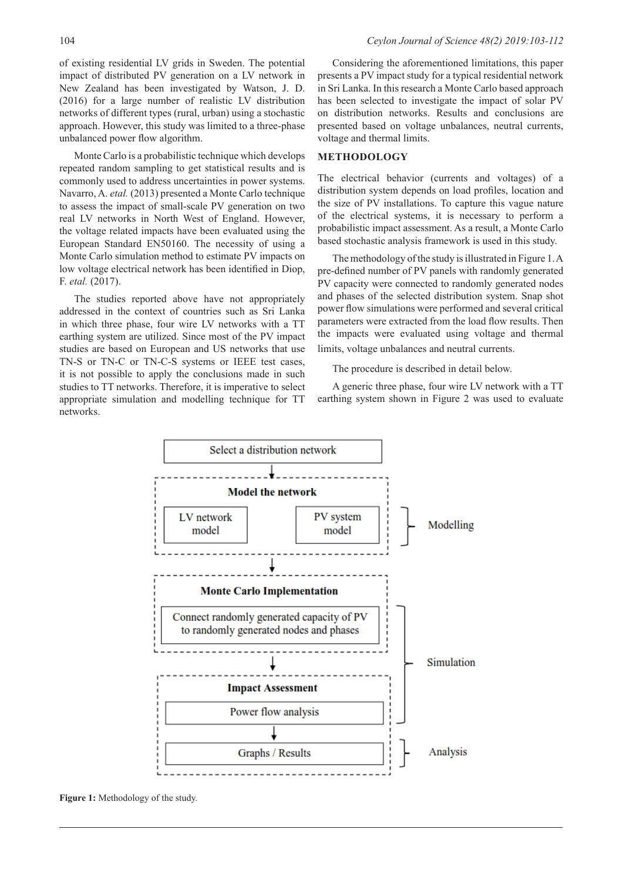of existing residential LV grids in Sweden. The potential impact of distributed PV generation on a LV network in New Zealand has been investigated by Watson, J. D. (2016) for a large number of realistic LV distribution networks of different types (rural, urban) using a stochastic approach. However, this study was limited to a three-phase unbalanced power flow algorithm.

Monte Carlo is a probabilistic technique which develops repeated random sampling to get statistical results and is commonly used to address uncertainties in power systems. Navarro, A. *etal.* (2013) presented a Monte Carlo technique to assess the impact of small-scale PV generation on two real LV networks in North West of England. However, the voltage related impacts have been evaluated using the European Standard EN50160. The necessity of using a Monte Carlo simulation method to estimate PV impacts on low voltage electrical network has been identified in Diop, F. *etal.* (2017).

The studies reported above have not appropriately addressed in the context of countries such as Sri Lanka in which three phase, four wire LV networks with a TT earthing system are utilized. Since most of the PV impact studies are based on European and US networks that use TN-S or TN-C or TN-C-S systems or IEEE test cases, it is not possible to apply the conclusions made in such studies to TT networks. Therefore, it is imperative to select appropriate simulation and modelling technique for TT networks.

Considering the aforementioned limitations, this paper presents a PV impact study for a typical residential network in Sri Lanka. In this research a Monte Carlo based approach has been selected to investigate the impact of solar PV on distribution networks. Results and conclusions are presented based on voltage unbalances, neutral currents, voltage and thermal limits.

#### **METHODOLOGY**

The electrical behavior (currents and voltages) of a distribution system depends on load profiles, location and the size of PV installations. To capture this vague nature of the electrical systems, it is necessary to perform a probabilistic impact assessment. As a result, a Monte Carlo based stochastic analysis framework is used in this study.

The methodology of the study is illustrated in Figure 1. A pre-defined number of PV panels with randomly generated PV capacity were connected to randomly generated nodes and phases of the selected distribution system. Snap shot power flow simulations were performed and several critical parameters were extracted from the load flow results. Then the impacts were evaluated using voltage and thermal limits, voltage unbalances and neutral currents.

The procedure is described in detail below.

A generic three phase, four wire LV network with a TT earthing system shown in Figure 2 was used to evaluate



**Figure 1:** Methodology of the study.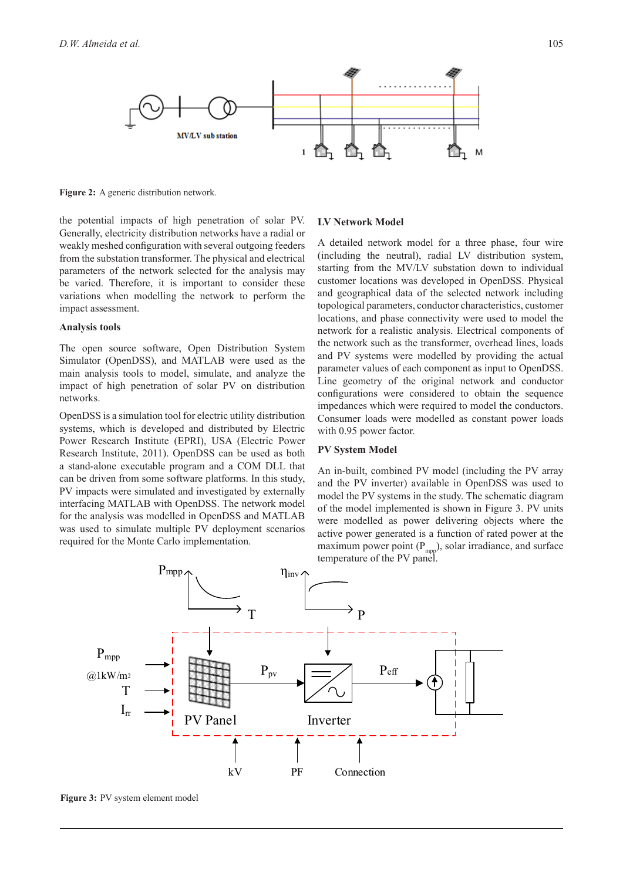

**Figure 2:** A generic distribution network.

the potential impacts of high penetration of solar PV. Generally, electricity distribution networks have a radial or weakly meshed configuration with several outgoing feeders from the substation transformer. The physical and electrical parameters of the network selected for the analysis may be varied. Therefore, it is important to consider these variations when modelling the network to perform the impact assessment.

#### **Analysis tools**

The open source software, Open Distribution System Simulator (OpenDSS), and MATLAB were used as the main analysis tools to model, simulate, and analyze the impact of high penetration of solar PV on distribution networks.

OpenDSS is a simulation tool for electric utility distribution systems, which is developed and distributed by Electric Power Research Institute (EPRI), USA (Electric Power Research Institute, 2011). OpenDSS can be used as both a stand-alone executable program and a COM DLL that can be driven from some software platforms. In this study, PV impacts were simulated and investigated by externally interfacing MATLAB with OpenDSS. The network model for the analysis was modelled in OpenDSS and MATLAB was used to simulate multiple PV deployment scenarios required for the Monte Carlo implementation.

#### **LV Network Model**

A detailed network model for a three phase, four wire (including the neutral), radial LV distribution system, starting from the MV/LV substation down to individual customer locations was developed in OpenDSS. Physical and geographical data of the selected network including topological parameters, conductor characteristics, customer locations, and phase connectivity were used to model the network for a realistic analysis. Electrical components of the network such as the transformer, overhead lines, loads and PV systems were modelled by providing the actual parameter values of each component as input to OpenDSS. Line geometry of the original network and conductor configurations were considered to obtain the sequence impedances which were required to model the conductors. Consumer loads were modelled as constant power loads with 0.95 power factor.

#### **PV System Model**

An in-built, combined PV model (including the PV array and the PV inverter) available in OpenDSS was used to model the PV systems in the study. The schematic diagram of the model implemented is shown in Figure 3. PV units were modelled as power delivering objects where the active power generated is a function of rated power at the maximum power point  $(P_{mpp})$ , solar irradiance, and surface temperature of the PV panel.



**Figure 3:** PV system element model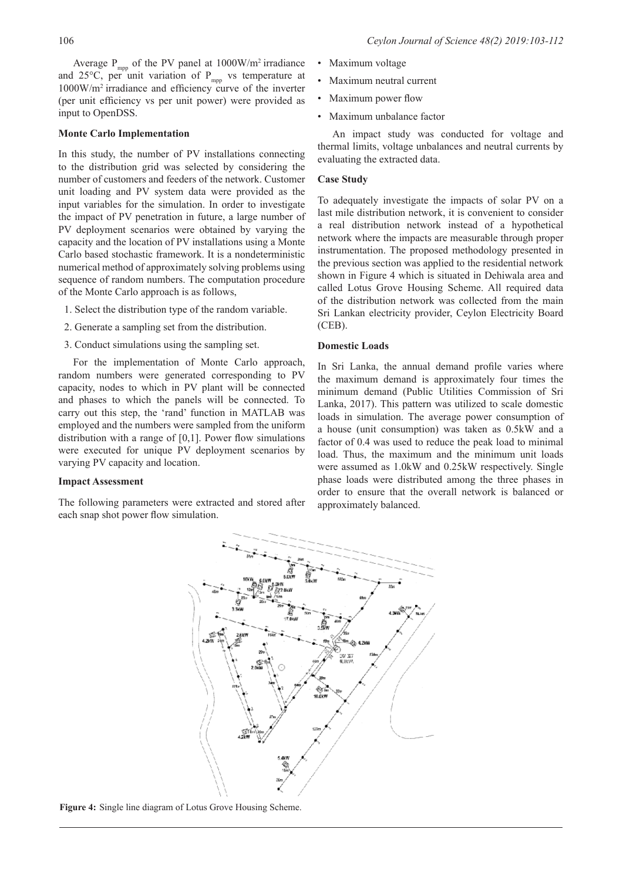Average  $P_{mpp}$  of the PV panel at 1000W/m<sup>2</sup> irradiance and 25 $\degree$ C, per unit variation of P<sub>mpp</sub> vs temperature at 1000W/m2 irradiance and efficiency curve of the inverter (per unit efficiency vs per unit power) were provided as input to OpenDSS.

#### **Monte Carlo Implementation**

In this study, the number of PV installations connecting to the distribution grid was selected by considering the number of customers and feeders of the network. Customer unit loading and PV system data were provided as the input variables for the simulation. In order to investigate the impact of PV penetration in future, a large number of PV deployment scenarios were obtained by varying the capacity and the location of PV installations using a Monte Carlo based stochastic framework. It is a nondeterministic numerical method of approximately solving problems using sequence of random numbers. The computation procedure of the Monte Carlo approach is as follows,

- 1. Select the distribution type of the random variable.
- 2. Generate a sampling set from the distribution.
- 3. Conduct simulations using the sampling set.

For the implementation of Monte Carlo approach, random numbers were generated corresponding to PV capacity, nodes to which in PV plant will be connected and phases to which the panels will be connected. To carry out this step, the 'rand' function in MATLAB was employed and the numbers were sampled from the uniform distribution with a range of [0,1]. Power flow simulations were executed for unique PV deployment scenarios by varying PV capacity and location.

### **Impact Assessment**

The following parameters were extracted and stored after each snap shot power flow simulation.

- Maximum voltage
- Maximum neutral current
- Maximum power flow
- Maximum unbalance factor

An impact study was conducted for voltage and thermal limits, voltage unbalances and neutral currents by evaluating the extracted data.

### **Case Study**

To adequately investigate the impacts of solar PV on a last mile distribution network, it is convenient to consider a real distribution network instead of a hypothetical network where the impacts are measurable through proper instrumentation. The proposed methodology presented in the previous section was applied to the residential network shown in Figure 4 which is situated in Dehiwala area and called Lotus Grove Housing Scheme. All required data of the distribution network was collected from the main Sri Lankan electricity provider, Ceylon Electricity Board (CEB).

#### **Domestic Loads**

In Sri Lanka, the annual demand profile varies where the maximum demand is approximately four times the minimum demand (Public Utilities Commission of Sri Lanka, 2017). This pattern was utilized to scale domestic loads in simulation. The average power consumption of a house (unit consumption) was taken as 0.5kW and a factor of 0.4 was used to reduce the peak load to minimal load. Thus, the maximum and the minimum unit loads were assumed as 1.0kW and 0.25kW respectively. Single phase loads were distributed among the three phases in order to ensure that the overall network is balanced or approximately balanced.



**Figure 4:** Single line diagram of Lotus Grove Housing Scheme.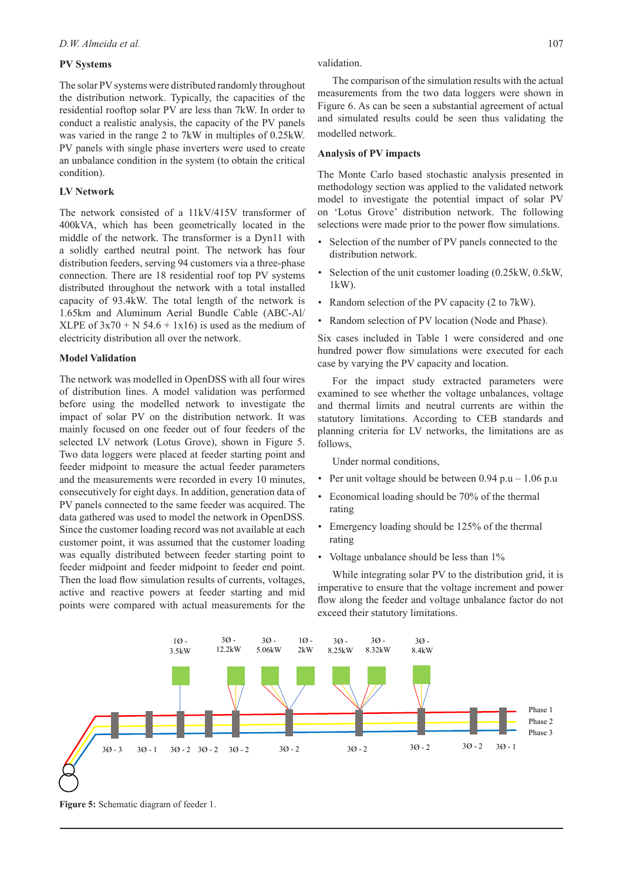### **PV Systems**

The solar PV systems were distributed randomly throughout the distribution network. Typically, the capacities of the residential rooftop solar PV are less than 7kW. In order to conduct a realistic analysis, the capacity of the PV panels was varied in the range 2 to 7kW in multiples of 0.25kW. PV panels with single phase inverters were used to create an unbalance condition in the system (to obtain the critical condition).

### **LV Network**

The network consisted of a 11kV/415V transformer of 400kVA, which has been geometrically located in the middle of the network. The transformer is a Dyn11 with a solidly earthed neutral point. The network has four distribution feeders, serving 94 customers via a three-phase connection. There are 18 residential roof top PV systems distributed throughout the network with a total installed capacity of 93.4kW. The total length of the network is 1.65km and Aluminum Aerial Bundle Cable (ABC-Al/ XLPE of  $3x70 + N$  54.6 + 1x16) is used as the medium of electricity distribution all over the network.

#### **Model Validation**

The network was modelled in OpenDSS with all four wires of distribution lines. A model validation was performed before using the modelled network to investigate the impact of solar PV on the distribution network. It was mainly focused on one feeder out of four feeders of the selected LV network (Lotus Grove), shown in Figure 5. Two data loggers were placed at feeder starting point and feeder midpoint to measure the actual feeder parameters and the measurements were recorded in every 10 minutes, consecutively for eight days. In addition, generation data of PV panels connected to the same feeder was acquired. The data gathered was used to model the network in OpenDSS. Since the customer loading record was not available at each customer point, it was assumed that the customer loading was equally distributed between feeder starting point to feeder midpoint and feeder midpoint to feeder end point. Then the load flow simulation results of currents, voltages, active and reactive powers at feeder starting and mid points were compared with actual measurements for the

The comparison of the simulation results with the actual measurements from the two data loggers were shown in Figure 6. As can be seen a substantial agreement of actual and simulated results could be seen thus validating the modelled network.

#### **Analysis of PV impacts**

The Monte Carlo based stochastic analysis presented in methodology section was applied to the validated network model to investigate the potential impact of solar PV on 'Lotus Grove' distribution network. The following selections were made prior to the power flow simulations.

- Selection of the number of PV panels connected to the distribution network.
- Selection of the unit customer loading (0.25kW, 0.5kW, 1kW).
- Random selection of the PV capacity (2 to 7kW).
- Random selection of PV location (Node and Phase).

Six cases included in Table 1 were considered and one hundred power flow simulations were executed for each case by varying the PV capacity and location.

For the impact study extracted parameters were examined to see whether the voltage unbalances, voltage and thermal limits and neutral currents are within the statutory limitations. According to CEB standards and planning criteria for LV networks, the limitations are as follows,

Under normal conditions,

- Per unit voltage should be between  $0.94$  p.u  $1.06$  p.u
- Economical loading should be 70% of the thermal rating
- Emergency loading should be 125% of the thermal rating
- Voltage unbalance should be less than  $1\%$

While integrating solar PV to the distribution grid, it is imperative to ensure that the voltage increment and power flow along the feeder and voltage unbalance factor do not exceed their statutory limitations.



**Figure 5:** Schematic diagram of feeder 1.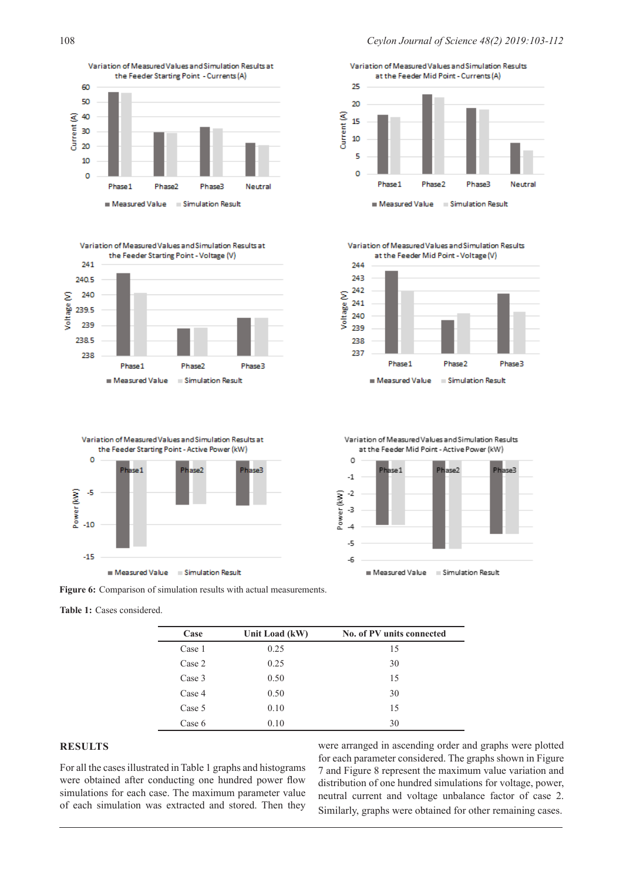





**Figure 6:** Comparison of simulation results with actual measurements.

**Table 1:** Cases considered.

| Case   | Unit Load (kW) | No. of PV units connected |
|--------|----------------|---------------------------|
| Case 1 | 0.25           | 15                        |
| Case 2 | 0.25           | 30                        |
| Case 3 | 0.50           | 15                        |
| Case 4 | 0.50           | 30                        |
| Case 5 | 0.10           | 15                        |
| Case 6 | 0.10           | 30                        |

## **RESULTS**

For all the cases illustrated in Table 1 graphs and histograms were obtained after conducting one hundred power flow simulations for each case. The maximum parameter value of each simulation was extracted and stored. Then they

were arranged in ascending order and graphs were plotted for each parameter considered. The graphs shown in Figure 7 and Figure 8 represent the maximum value variation and distribution of one hundred simulations for voltage, power, neutral current and voltage unbalance factor of case 2. Similarly, graphs were obtained for other remaining cases.

Variation of Measured Values and Simulation Results at the Feeder Mid Point - Currents (A)  $25$  $\infty$ Current (A) 15 10 5  $\circ$ Phase 1 Phase<sub>2</sub> Phase3 Neutral Measured Value Simulation Result

Variation of Measured Values and Simulation Results at the Feeder Mid Point - Voltage (V)



Variation of Measured Values and Simulation Results at the Feeder Mid Point - Active Power (kW) O

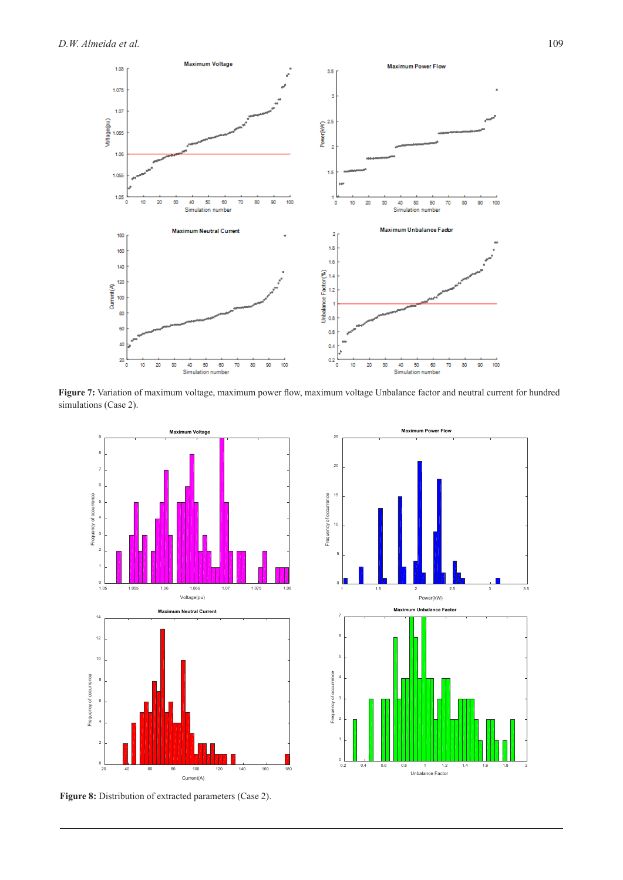

**Figure 7:** Variation of maximum voltage, maximum power flow, maximum voltage Unbalance factor and neutral current for hundred simulations (Case 2).



Figure 8: Distribution of extracted parameters (Case 2).

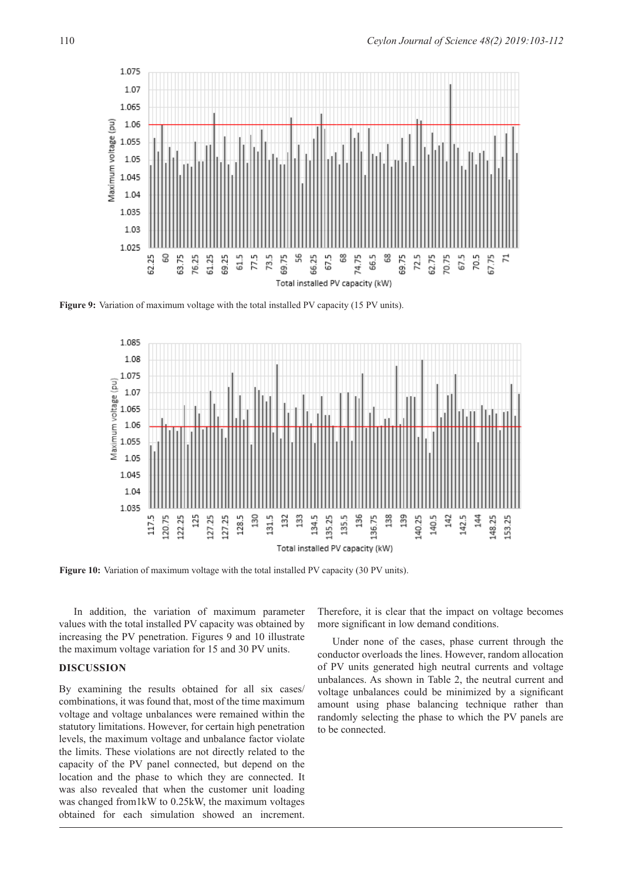

**Figure 9:** Variation of maximum voltage with the total installed PV capacity (15 PV units).



**Figure 10:** Variation of maximum voltage with the total installed PV capacity (30 PV units).

In addition, the variation of maximum parameter values with the total installed PV capacity was obtained by increasing the PV penetration. Figures 9 and 10 illustrate the maximum voltage variation for 15 and 30 PV units.

### **DISCUSSION**

By examining the results obtained for all six cases/ combinations, it was found that, most of the time maximum voltage and voltage unbalances were remained within the statutory limitations. However, for certain high penetration levels, the maximum voltage and unbalance factor violate the limits. These violations are not directly related to the capacity of the PV panel connected, but depend on the location and the phase to which they are connected. It was also revealed that when the customer unit loading was changed from1kW to 0.25kW, the maximum voltages obtained for each simulation showed an increment.

Therefore, it is clear that the impact on voltage becomes more significant in low demand conditions.

Under none of the cases, phase current through the conductor overloads the lines. However, random allocation of PV units generated high neutral currents and voltage unbalances. As shown in Table 2, the neutral current and voltage unbalances could be minimized by a significant amount using phase balancing technique rather than randomly selecting the phase to which the PV panels are to be connected.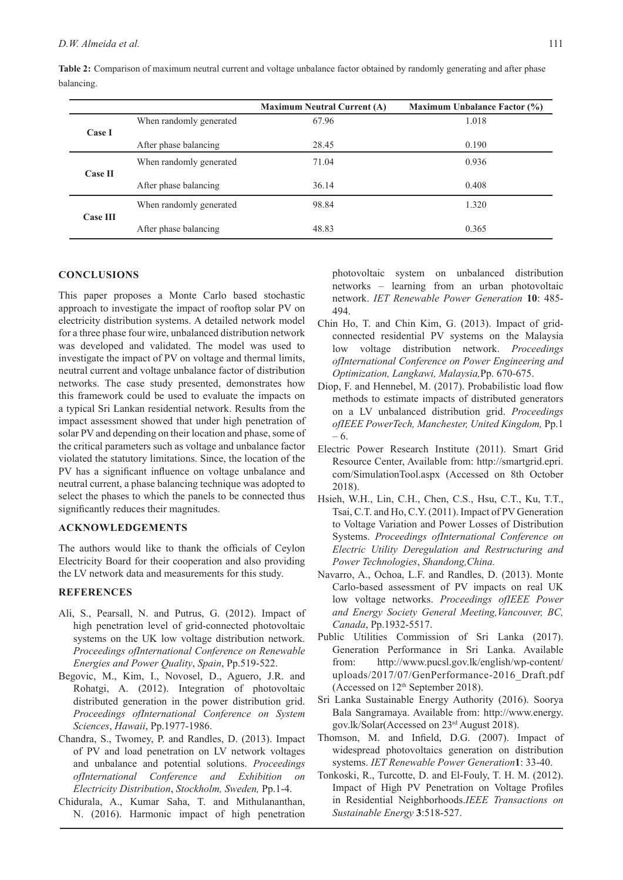|                 |                         | <b>Maximum Neutral Current (A)</b> | <b>Maximum Unbalance Factor (%)</b> |
|-----------------|-------------------------|------------------------------------|-------------------------------------|
|                 | When randomly generated | 67.96                              | 1.018                               |
| Case I          | After phase balancing   | 28.45                              | 0.190                               |
|                 | When randomly generated | 71.04                              | 0.936                               |
| <b>Case II</b>  | After phase balancing   | 36.14                              | 0.408                               |
|                 | When randomly generated | 98.84                              | 1.320                               |
| <b>Case III</b> | After phase balancing   | 48.83                              | 0.365                               |

**Table 2:** Comparison of maximum neutral current and voltage unbalance factor obtained by randomly generating and after phase balancing.

## **CONCLUSIONS**

This paper proposes a Monte Carlo based stochastic approach to investigate the impact of rooftop solar PV on electricity distribution systems. A detailed network model for a three phase four wire, unbalanced distribution network was developed and validated. The model was used to investigate the impact of PV on voltage and thermal limits, neutral current and voltage unbalance factor of distribution networks. The case study presented, demonstrates how this framework could be used to evaluate the impacts on a typical Sri Lankan residential network. Results from the impact assessment showed that under high penetration of solar PV and depending on their location and phase, some of the critical parameters such as voltage and unbalance factor violated the statutory limitations. Since, the location of the PV has a significant influence on voltage unbalance and neutral current, a phase balancing technique was adopted to select the phases to which the panels to be connected thus significantly reduces their magnitudes.

### **ACKNOWLEDGEMENTS**

The authors would like to thank the officials of Ceylon Electricity Board for their cooperation and also providing the LV network data and measurements for this study.

### **REFERENCES**

- Ali, S., Pearsall, N. and Putrus, G. (2012). Impact of high penetration level of grid-connected photovoltaic systems on the UK low voltage distribution network. *Proceedings ofInternational Conference on Renewable Energies and Power Quality*, *Spain*, Pp.519-522.
- Begovic, M., Kim, I., Novosel, D., Aguero, J.R. and Rohatgi, A. (2012). Integration of photovoltaic distributed generation in the power distribution grid. *Proceedings ofInternational Conference on System Sciences*, *Hawaii*, Pp.1977-1986.
- Chandra, S., Twomey, P. and Randles, D. (2013). Impact of PV and load penetration on LV network voltages and unbalance and potential solutions. *Proceedings ofInternational Conference and Exhibition on Electricity Distribution*, *Stockholm, Sweden,* Pp.1-4.
- Chidurala, A., Kumar Saha, T. and Mithulananthan, N. (2016). Harmonic impact of high penetration

photovoltaic system on unbalanced distribution networks – learning from an urban photovoltaic network. *IET Renewable Power Generation* **10**: 485- 494.

- Chin Ho, T. and Chin Kim, G. (2013). Impact of gridconnected residential PV systems on the Malaysia low voltage distribution network. *Proceedings ofInternational Conference on Power Engineering and Optimization, Langkawi, Malaysia,*Pp. 670-675.
- Diop, F. and Hennebel, M. (2017). Probabilistic load flow methods to estimate impacts of distributed generators on a LV unbalanced distribution grid. *Proceedings ofIEEE PowerTech, Manchester, United Kingdom,* Pp.1 – 6.
- Electric Power Research Institute (2011). Smart Grid Resource Center, Available from: http://smartgrid.epri. com/SimulationTool.aspx (Accessed on 8th October 2018).
- Hsieh, W.H., Lin, C.H., Chen, C.S., Hsu, C.T., Ku, T.T., Tsai, C.T. and Ho, C.Y. (2011). Impact of PV Generation to Voltage Variation and Power Losses of Distribution Systems. *Proceedings ofInternational Conference on Electric Utility Deregulation and Restructuring and Power Technologies*, *Shandong,China.*
- Navarro, A., Ochoa, L.F. and Randles, D. (2013). Monte Carlo-based assessment of PV impacts on real UK low voltage networks. *Proceedings ofIEEE Power and Energy Society General Meeting,Vancouver, BC, Canada*, Pp.1932-5517.
- Public Utilities Commission of Sri Lanka (2017). Generation Performance in Sri Lanka. Available from: http://www.pucsl.gov.lk/english/wp-content/ uploads/2017/07/GenPerformance-2016\_Draft.pdf (Accessed on  $12<sup>th</sup>$  September 2018).
- Sri Lanka Sustainable Energy Authority (2016). Soorya Bala Sangramaya. Available from: http://www.energy. gov.lk/Solar(Accessed on 23rd August 2018).
- Thomson, M. and Infield, D.G. (2007). Impact of widespread photovoltaics generation on distribution systems. *IET Renewable Power Generation***1**: 33-40.
- Tonkoski, R., Turcotte, D. and El-Fouly, T. H. M. (2012). Impact of High PV Penetration on Voltage Profiles in Residential Neighborhoods.*IEEE Transactions on Sustainable Energy* **3**:518-527.